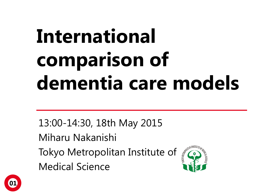# **International comparison of dementia care models**

13:00-14:30, 18th May 2015

Miharu Nakanishi

Tokyo Metropolitan Institute of Medical Science



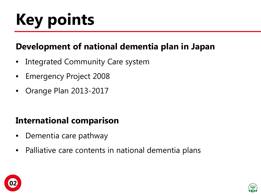# **Key points**

### **Development of national dementia plan in Japan**

- Integrated Community Care system
- Emergency Project 2008
- Orange Plan 2013-2017

### **International comparison**

- Dementia care pathway
- Palliative care contents in national dementia plans



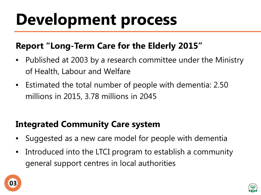## **Development process**

### **Report "Long-Term Care for the Elderly 2015"**

- Published at 2003 by a research committee under the Ministry of Health, Labour and Welfare
- Estimated the total number of people with dementia: 2.50 millions in 2015, 3.78 millions in 2045

### **Integrated Community Care system**

- Suggested as a new care model for people with dementia
- Introduced into the LTCI program to establish a community general support centres in local authorities



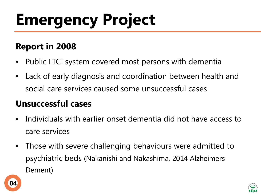# **Emergency Project**

### **Report in 2008**

- Public LTCI system covered most persons with dementia
- Lack of early diagnosis and coordination between health and social care services caused some unsuccessful cases

### **Unsuccessful cases**

- Individuals with earlier onset dementia did not have access to care services
- Those with severe challenging behaviours were admitted to psychiatric beds (Nakanishi and Nakashima, 2014 Alzheimers Dement)



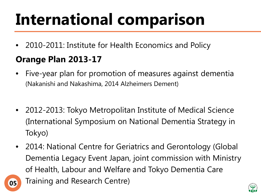## **International comparison**

• 2010-2011: Institute for Health Economics and Policy

### **Orange Plan 2013-17**

- Five-year plan for promotion of measures against dementia (Nakanishi and Nakashima, 2014 Alzheimers Dement)
- 2012-2013: Tokyo Metropolitan Institute of Medical Science (International Symposium on National Dementia Strategy in Tokyo)
- 2014: National Centre for Geriatrics and Gerontology (Global Dementia Legacy Event Japan, joint commission with Ministry of Health, Labour and Welfare and Tokyo Dementia Care **05** Training and Research Centre)

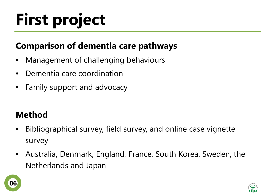# **First project**

### **Comparison of dementia care pathways**

- Management of challenging behaviours
- Dementia care coordination
- Family support and advocacy

### **Method**

- Bibliographical survey, field survey, and online case vignette survey
- Australia, Denmark, England, France, South Korea, Sweden, the Netherlands and Japan



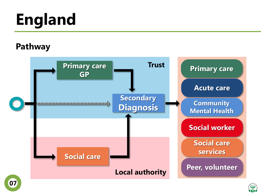# **England**

#### **Pathway**



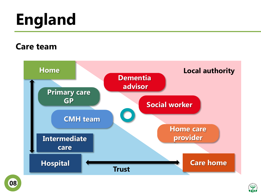# **England**

#### **Care team**





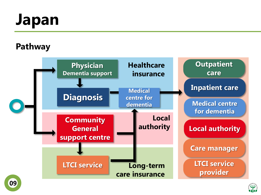## **Japan**

### **Pathway**



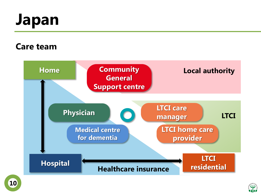## **Japan**

#### **Care team**



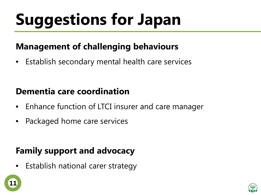# **Suggestions for Japan**

### **Management of challenging behaviours**

• Establish secondary mental health care services

### **Dementia care coordination**

- Enhance function of LTCI insurer and care manager
- Packaged home care services

### **Family support and advocacy**

• Establish national carer strategy



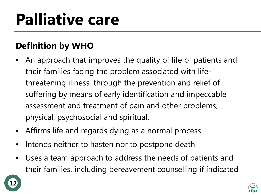## **Palliative care**

### **Definition by WHO**

- An approach that improves the quality of life of patients and their families facing the problem associated with lifethreatening illness, through the prevention and relief of suffering by means of early identification and impeccable assessment and treatment of pain and other problems, physical, psychosocial and spiritual.
- Affirms life and regards dying as a normal process
- Intends neither to hasten nor to postpone death
- Uses a team approach to address the needs of patients and their families, including bereavement counselling if indicated

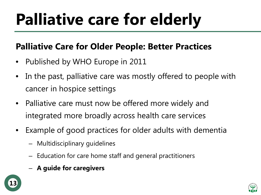## **Palliative care for elderly**

### **Palliative Care for Older People: Better Practices**

- Published by WHO Europe in 2011
- In the past, palliative care was mostly offered to people with cancer in hospice settings
- Palliative care must now be offered more widely and integrated more broadly across health care services
- Example of good practices for older adults with dementia
	- Multidisciplinary guidelines
	- Education for care home staff and general practitioners
	- **A guide for caregivers**



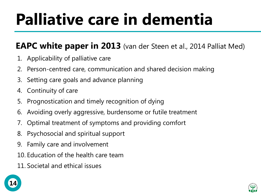## **Palliative care in dementia**

### **EAPC white paper in 2013** (van der Steen et al., 2014 Palliat Med)

- 1. Applicability of palliative care
- 2. Person-centred care, communication and shared decision making
- 3. Setting care goals and advance planning
- 4. Continuity of care
- 5. Prognostication and timely recognition of dying
- 6. Avoiding overly aggressive, burdensome or futile treatment
- 7. Optimal treatment of symptoms and providing comfort
- 8. Psychosocial and spiritual support
- 9. Family care and involvement
- 10. Education of the health care team
- 11. Societal and ethical issues

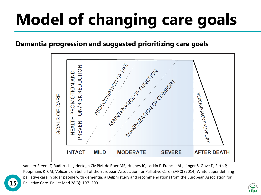# **Model of changing care goals**

#### **Dementia progression and suggested prioritizing care goals**



van der Steen JT, Radbruch L, Hertogh CMPM, de Boer ME, Hughes JC, Larkin P, Francke AL, Jünger S, Gove D, Firth P, Koopmans RTCM, Volicer L on behalf of the European Association for Palliative Care (EAPC) (2014) White paper defining palliative care in older people with dementia: a Delphi study and recommendations from the European Association for **15** Palliative Care. Palliat Med 28(3): 197–209.

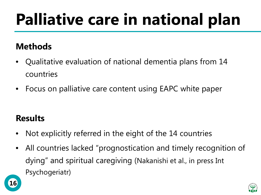## **Palliative care in national plan**

### **Methods**

- Qualitative evaluation of national dementia plans from 14 countries
- Focus on palliative care content using EAPC white paper

### **Results**

- Not explicitly referred in the eight of the 14 countries
- All countries lacked "prognostication and timely recognition of dying" and spiritual caregiving (Nakanishi et al., in press Int Psychogeriatr)



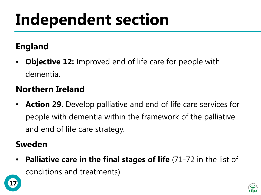## **Independent section**

### **England**

• **Objective 12:** Improved end of life care for people with dementia.

### **Northern Ireland**

• **Action 29.** Develop palliative and end of life care services for people with dementia within the framework of the palliative and end of life care strategy.

### **Sweden**

**17**

**Palliative care in the final stages of life** (71-72 in the list of conditions and treatments)

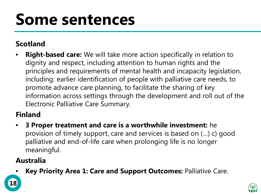## **Some sentences**

#### **Scotland**

• **Right-based care:** We will take more action specifically in relation to dignity and respect, including attention to human rights and the principles and requirements of mental health and incapacity legislation, including: earlier identification of people with palliative care needs, to promote advance care planning, to facilitate the sharing of key information across settings through the development and roll out of the Electronic Palliative Care Summary.

#### **Finland**

• **3 Proper treatment and care is a worthwhile investment:** he provision of timely support, care and services is based on (…) c) good palliative and end-of-life care when prolonging life is no longer meaningful.

#### **Australia**

• **Key Priority Area 1: Care and Support Outcomes:** Palliative Care.

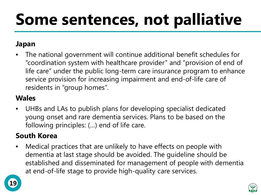## **Some sentences, not palliative**

#### **Japan**

• The national government will continue additional benefit schedules for "coordination system with healthcare provider" and "provision of end of life care" under the public long-term care insurance program to enhance service provision for increasing impairment and end-of-life care of residents in "group homes".

#### **Wales**

• UHBs and LAs to publish plans for developing specialist dedicated young onset and rare dementia services. Plans to be based on the following principles: (…) end of life care.

#### **South Korea**

• Medical practices that are unlikely to have effects on people with dementia at last stage should be avoided. The guideline should be established and disseminated for management of people with dementia at end-of-life stage to provide high-quality care services.



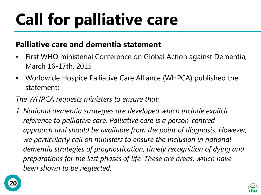# **Call for palliative care**

#### **Palliative care and dementia statement**

- First WHO ministerial Conference on Global Action against Dementia, March 16-17th, 2015
- Worldwide Hospice Palliative Care Alliance (WHPCA) published the statement:

#### *The WHPCA requests ministers to ensure that:*

*1. National dementia strategies are developed which include explicit reference to palliative care. Palliative care is a person-centred approach and should be available from the point of diagnosis. However, we particularly call on ministers to ensure the inclusion in national dementia strategies of prognostication, timely recognition of dying and preparations for the last phases of life. These are areas, which have been shown to be neglected.*



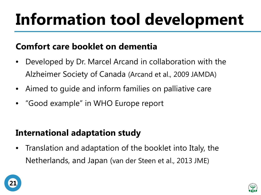# **Information tool development**

### **Comfort care booklet on dementia**

- Developed by Dr. Marcel Arcand in collaboration with the Alzheimer Society of Canada (Arcand et al., 2009 JAMDA)
- Aimed to guide and inform families on palliative care
- "Good example" in WHO Europe report

### **International adaptation study**

• Translation and adaptation of the booklet into Italy, the Netherlands, and Japan (van der Steen et al., 2013 JME)



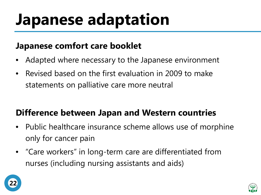## **Japanese adaptation**

#### **Japanese comfort care booklet**

- Adapted where necessary to the Japanese environment
- Revised based on the first evaluation in 2009 to make statements on palliative care more neutral

### **Difference between Japan and Western countries**

- Public healthcare insurance scheme allows use of morphine only for cancer pain
- "Care workers" in long-term care are differentiated from nurses (including nursing assistants and aids)



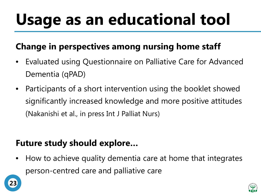# **Usage as an educational tool**

### **Change in perspectives among nursing home staff**

- Evaluated using Questionnaire on Palliative Care for Advanced Dementia (qPAD)
- Participants of a short intervention using the booklet showed significantly increased knowledge and more positive attitudes (Nakanishi et al., in press Int J Palliat Nurs)

### **Future study should explore…**

• How to achieve quality dementia care at home that integrates person-centred care and palliative care



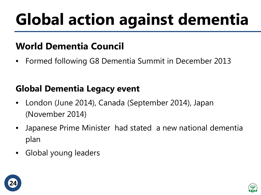# **Global action against dementia**

### **World Dementia Council**

• Formed following G8 Dementia Summit in December 2013

### **Global Dementia Legacy event**

- London (June 2014), Canada (September 2014), Japan (November 2014)
- Japanese Prime Minister had stated a new national dementia plan
- Global young leaders



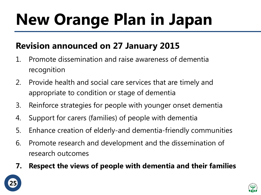# **New Orange Plan in Japan**

### **Revision announced on 27 January 2015**

- 1. Promote dissemination and raise awareness of dementia recognition
- 2. Provide health and social care services that are timely and appropriate to condition or stage of dementia
- 3. Reinforce strategies for people with younger onset dementia
- 4. Support for carers (families) of people with dementia
- 5. Enhance creation of elderly-and dementia-friendly communities
- 6. Promote research and development and the dissemination of research outcomes
- **7. Respect the views of people with dementia and their families**



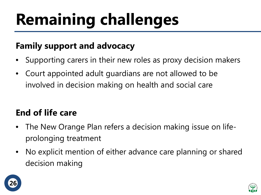# **Remaining challenges**

### **Family support and advocacy**

- Supporting carers in their new roles as proxy decision makers
- Court appointed adult guardians are not allowed to be involved in decision making on health and social care

### **End of life care**

- The New Orange Plan refers a decision making issue on lifeprolonging treatment
- No explicit mention of either advance care planning or shared decision making



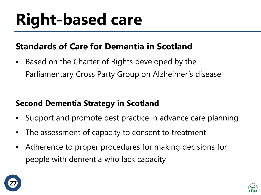## **Right-based care**

### **Standards of Care for Dementia in Scotland**

• Based on the Charter of Rights developed by the Parliamentary Cross Party Group on Alzheimer's disease

### **Second Dementia Strategy in Scotland**

- Support and promote best practice in advance care planning
- The assessment of capacity to consent to treatment
- Adherence to proper procedures for making decisions for people with dementia who lack capacity



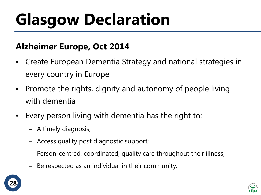# **Glasgow Declaration**

### **Alzheimer Europe, Oct 2014**

- Create European Dementia Strategy and national strategies in every country in Europe
- Promote the rights, dignity and autonomy of people living with dementia
- Every person living with dementia has the right to:
	- A timely diagnosis;
	- Access quality post diagnostic support;
	- Person-centred, coordinated, quality care throughout their illness;
	- Be respected as an individual in their community.